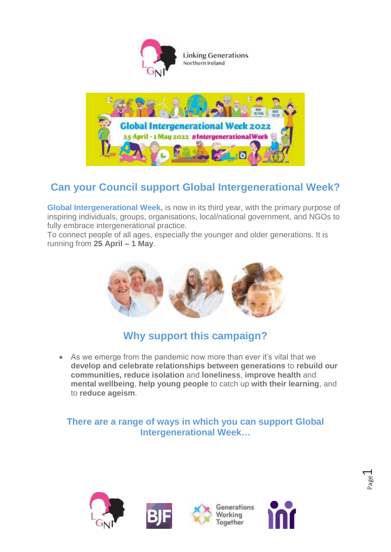



# **Can your Council support Global Intergenerational Week?**

**Global Intergenerational Week,** is now in its third year, with the primary purpose of inspiring individuals, groups, organisations, local/national government, and NGOs to fully embrace intergenerational practice.

To connect people of all ages, especially the younger and older generations. It is running from **25 April – 1 May**.



### **Why support this campaign?**

 As we emerge from the pandemic now more than ever it's vital that we **develop and celebrate relationships between generations** to **rebuild our communities, reduce isolation** and **loneliness**, **improve health** and **mental wellbeing**, **help young people** to catch up **with their learning**, and to **reduce ageism**.

#### **There are a range of ways in which you can support Global Intergenerational Week…**

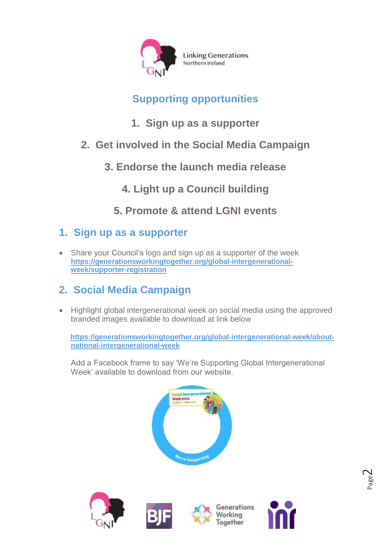

# **Supporting opportunities**

- **1. Sign up as a supporter**
- **2. Get involved in the Social Media Campaign**
	- **3. Endorse the launch media release**

**4. Light up a Council building** 

**5. Promote & attend LGNI events**

### **1. Sign up as a supporter**

• Share your Council's logo and sign up as a supporter of the week **[https://generationsworkingtogether.org/global-intergenerational](https://generationsworkingtogether.org/global-intergenerational-week/supporter-registration)[week/supporter-registration](https://generationsworkingtogether.org/global-intergenerational-week/supporter-registration)**

# **2. Social Media Campaign**

• Highlight global intergenerational week on social media using the approved branded images available to download at link below

**[https://generationsworkingtogether.org/global-intergenerational-week/about](https://generationsworkingtogether.org/global-intergenerational-week/about-national-intergenerational-week)[national-intergenerational-week](https://generationsworkingtogether.org/global-intergenerational-week/about-national-intergenerational-week)**

Add a Facebook frame to say 'We're Supporting Global Intergenerational Week' available to download from our website.









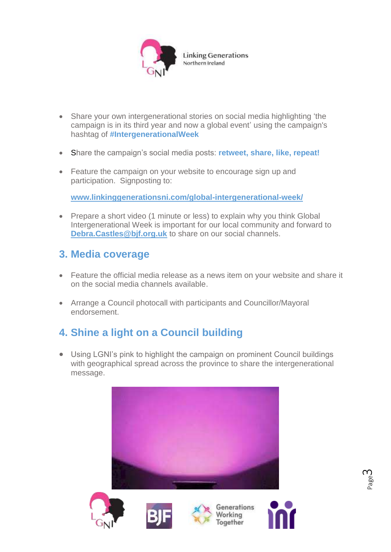

- Share your own intergenerational stories on social media highlighting 'the campaign is in its third year and now a global event' using the campaign's hashtag of **#IntergenerationalWeek**
- Share the campaign's social media posts: **retweet, share, like, repeat!**
- Feature the campaign on your website to encourage sign up and participation. Signposting to:

**[www.linkinggenerationsni.com/global-intergenerational-week/](http://www.linkinggenerationsni.com/global-intergenerational-week/)**

• Prepare a short video (1 minute or less) to explain why you think Global Intergenerational Week is important for our local community and forward to **[Debra.Castles@bjf.org.uk](mailto:Debra.Castles@bjf.org.uk)** to share on our social channels.

#### **3. Media coverage**

- Feature the official media release as a news item on your website and share it on the social media channels available.
- Arrange a Council photocall with participants and Councillor/Mayoral endorsement.

# **4. Shine a light on a Council building**

 Using LGNI's pink to highlight the campaign on prominent Council buildings with geographical spread across the province to share the intergenerational message.



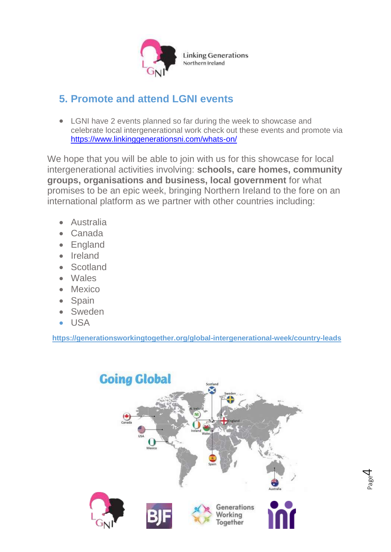

#### **5. Promote and attend LGNI events**

 LGNI have 2 events planned so far during the week to showcase and celebrate local intergenerational work check out these events and promote via <https://www.linkinggenerationsni.com/whats-on/>

We hope that you will be able to join with us for this showcase for local intergenerational activities involving: **schools, care homes, community groups, organisations and business, local government** for what promises to be an epic week, bringing Northern Ireland to the fore on an international platform as we partner with other countries including:

- Australia
- Canada
- England
- Ireland
- Scotland
- Wales
- Mexico
- Spain
- Sweden
- USA

**<https://generationsworkingtogether.org/global-intergenerational-week/country-leads>**



Page  $\overline{\mathcal{A}}$